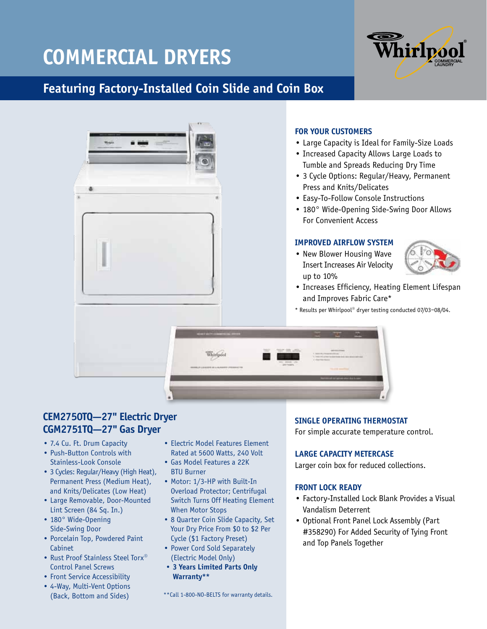## **Commercial Dryers**



### **Featuring Factory-Installed Coin Slide and Coin Box**



# **CEM2750TQ—27" Electric Dryer**

- **CGM2751TQ—27" Gas Dryer**
- 7.4 Cu. Ft. Drum Capacity
- Push-Button Controls with Stainless-Look Console
- 3 Cycles: Regular/Heavy (High Heat), Permanent Press (Medium Heat), and Knits/Delicates (Low Heat)
- Large Removable, Door-Mounted Lint Screen (84 Sq. In.)
- 180° Wide-Opening Side-Swing Door
- Porcelain Top, Powdered Paint Cabinet
- Rust Proof Stainless Steel Torx® Control Panel Screws
- Front Service Accessibility
- 4-Way, Multi-Vent Options (Back, Bottom and Sides)
- Electric Model Features Element Rated at 5600 Watts, 240 Volt
- Gas Model Features a 22K BTU Burner
- Motor: 1/3-HP with Built-In Overload Protector; Centrifugal Switch Turns Off Heating Element When Motor Stops
- 8 Quarter Coin Slide Capacity, Set Your Dry Price From \$0 to \$2 Per Cycle (\$1 Factory Preset)
- Power Cord Sold Separately (Electric Model Only)
- **3 Years Limited Parts Only Warranty\*\***

\*\*Call 1-800-NO-BELTS for warranty details.

### **FOR YOUR CUSTOMERS**

- Large Capacity is Ideal for Family-Size Loads
- Increased Capacity Allows Large Loads to Tumble and Spreads Reducing Dry Time
- 3 Cycle Options: Regular/Heavy, Permanent Press and Knits/Delicates
- Easy-To-Follow Console Instructions
- 180° Wide-Opening Side-Swing Door Allows For Convenient Access

#### **IMPROVED AIRFLOW SYSTEM**

• New Blower Housing Wave Insert Increases Air Velocity



- Increases Efficiency, Heating Element Lifespan and Improves Fabric Care\*
- \* Results per Whirlpool® dryer testing conducted 07/03–08/04.

### **SINGLE OPERATING THERMOSTAT**

For simple accurate temperature control.

#### **LARGE CAPACITY METERCASE**

Larger coin box for reduced collections.

#### **FRONT LOCK READY**

- Factory-Installed Lock Blank Provides a Visual Vandalism Deterrent
- Optional Front Panel Lock Assembly (Part #358290) For Added Security of Tying Front and Top Panels Together